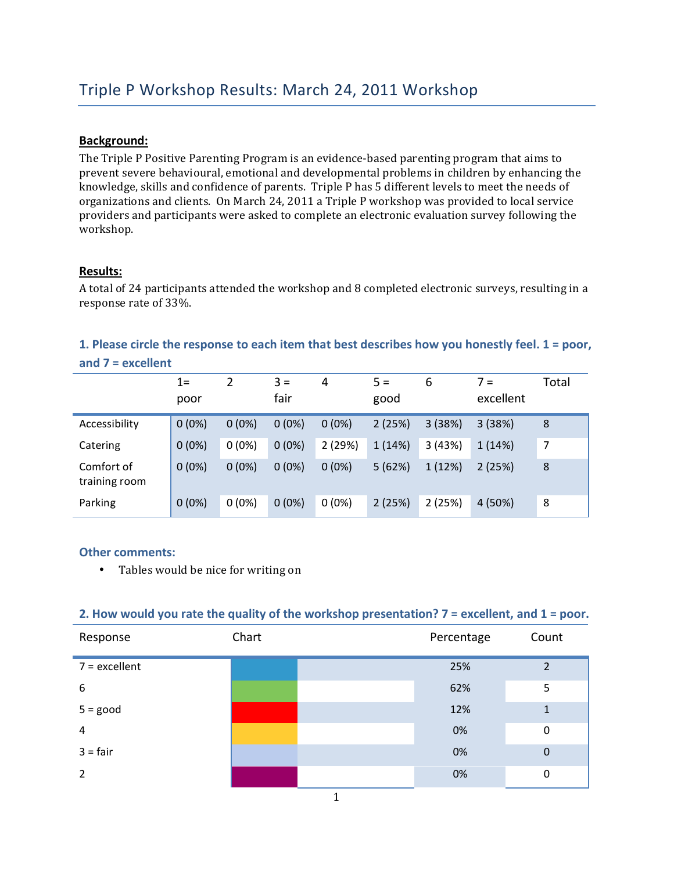## **Background:**

The Triple P Positive Parenting Program is an evidence-based parenting program that aims to prevent severe behavioural, emotional and developmental problems in children by enhancing the knowledge, skills and confidence of parents. Triple P has 5 different levels to meet the needs of organizations and clients. On March 24, 2011 a Triple P workshop was provided to local service providers and participants were asked to complete an electronic evaluation survey following the workshop.

### **Results:**

A total of 24 participants attended the workshop and 8 completed electronic surveys, resulting in a response rate of 33%.

## 1. Please circle the response to each item that best describes how you honestly feel. 1 = poor, and 7 = excellent

|                             | $1 =$<br>poor | 2        | $3 =$<br>fair | 4        | $5 =$<br>good | 6      | $7 =$<br>excellent | Total |
|-----------------------------|---------------|----------|---------------|----------|---------------|--------|--------------------|-------|
| Accessibility               | $0(0\%)$      | $0(0\%)$ | $0(0\%)$      | $0(0\%)$ | 2(25%)        | 3(38%) | 3(38%)             | 8     |
| Catering                    | $0(0\%)$      | $0(0\%)$ | $0(0\%)$      | 2(29%)   | 1(14%)        | 3(43%) | 1 (14%)            | 7     |
| Comfort of<br>training room | $0(0\%)$      | $0(0\%)$ | $0(0\%)$      | $0(0\%)$ | 5(62%)        | 1(12%) | 2(25%)             | 8     |
| Parking                     | $0(0\%)$      | $0(0\%)$ | $0(0\%)$      | $0(0\%)$ | 2(25%)        | 2(25%) | 4 (50%)            | 8     |

#### **Other comments:**

• Tables would be nice for writing on

#### 2. How would you rate the quality of the workshop presentation? 7 = excellent, and 1 = poor.

| Response        | Chart | Percentage | Count         |
|-----------------|-------|------------|---------------|
| $7 =$ excellent |       | 25%        | $\mathfrak z$ |
| 6               |       | 62%        | 5             |
| $5 = good$      |       | 12%        | 1             |
| 4               |       | 0%         | $\mathbf 0$   |
| $3 = fair$      |       | 0%         | $\mathbf 0$   |
| 2               |       | 0%         | 0             |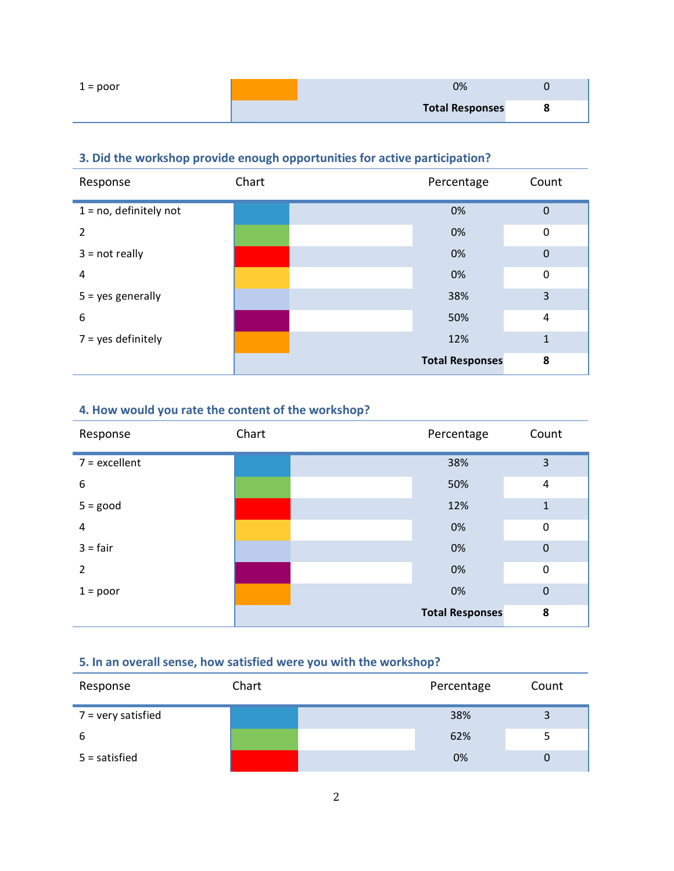| $1 = poor$ | 0%                     |  |
|------------|------------------------|--|
|            | <b>Total Responses</b> |  |

# **3. Did the workshop provide enough opportunities for active participation?**

| Response                  | Chart | Percentage             | Count            |
|---------------------------|-------|------------------------|------------------|
| $1 = no$ , definitely not |       | 0%                     | $\mathbf 0$      |
| 2                         |       | 0%                     | $\mathbf 0$      |
| $3 = not really$          |       | 0%                     | $\boldsymbol{0}$ |
| 4                         |       | 0%                     | $\mathbf 0$      |
| $5 = yes$ generally       |       | 38%                    | 3                |
| 6                         |       | 50%                    | 4                |
| $7 = yes$ definitely      |       | 12%                    | $\mathbf{1}$     |
|                           |       | <b>Total Responses</b> | 8                |

# **4. How would you rate the content of the workshop?**

| Response         | Chart | Percentage             | Count          |
|------------------|-------|------------------------|----------------|
| $7 =$ excellent  |       | 38%                    | 3              |
| $\boldsymbol{6}$ |       | 50%                    | $\overline{4}$ |
| $5 = good$       |       | 12%                    | $\mathbf{1}$   |
| 4                |       | 0%                     | $\mathbf 0$    |
| $3 = fair$       |       | 0%                     | $\mathbf 0$    |
| $\overline{2}$   |       | 0%                     | $\mathbf 0$    |
| $1 = poor$       |       | 0%                     | $\mathbf 0$    |
|                  |       | <b>Total Responses</b> | 8              |

## **5. In an overall sense, how satisfied were you with the workshop?**

| Response             | Chart | Percentage | Count |
|----------------------|-------|------------|-------|
| $7$ = very satisfied |       | 38%        |       |
| 6                    |       | 62%        |       |
| $5 =$ satisfied      |       | 0%         |       |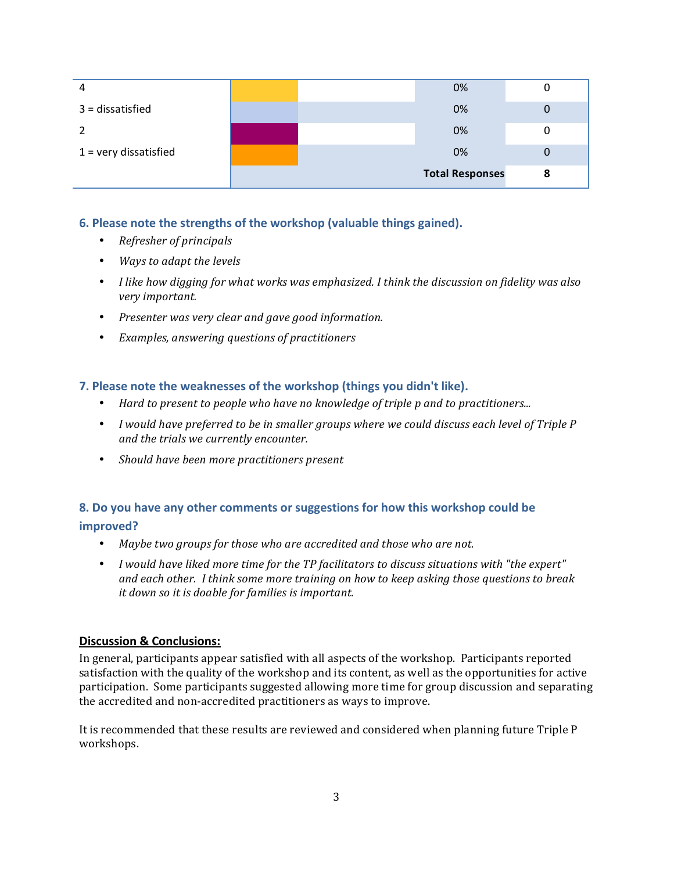| 4                       |  | 0%                     | U |
|-------------------------|--|------------------------|---|
| $3 = dissatisfied$      |  | 0%                     |   |
|                         |  | 0%                     |   |
| $1 =$ very dissatisfied |  | 0%                     | U |
|                         |  | <b>Total Responses</b> | 8 |

## **6. Please note the strengths of the workshop (valuable things gained).**

- Refresher of principals
- *Ways to adapt the levels*
- *I like how digging for what works was emphasized. I think the discussion on fidelity was also very'important.*
- *Presenter'was'very'clear'and'gave'good'information.*
- Examples, answering questions of practitioners

### **7. Please note the weaknesses of the workshop (things you didn't like).**

- Hard to present to people who have no knowledge of triple p and to practitioners...
- *I* would have preferred to be in smaller groups where we could discuss each level of Triple P *and'the'trials'we'currently'encounter.*
- *Should'have'been'more'practitioners'present*

## **8.,Do,you,have,any,other,comments,or,suggestions,for,how,this,workshop,could,be, improved?**

- Maybe two groups for those who are accredited and those who are not.
- *I* would have liked more time for the TP facilitators to discuss situations with "the expert" *and'each'other.''I'think'some'more'training'on'how'to'keep'asking'those'questions'to'break'* it down so it is doable for families is important.

## **Discussion & Conclusions:**

In general, participants appear satisfied with all aspects of the workshop. Participants reported satisfaction with the quality of the workshop and its content, as well as the opportunities for active participation. Some participants suggested allowing more time for group discussion and separating the accredited and non-accredited practitioners as ways to improve.

It is recommended that these results are reviewed and considered when planning future Triple P workshops.